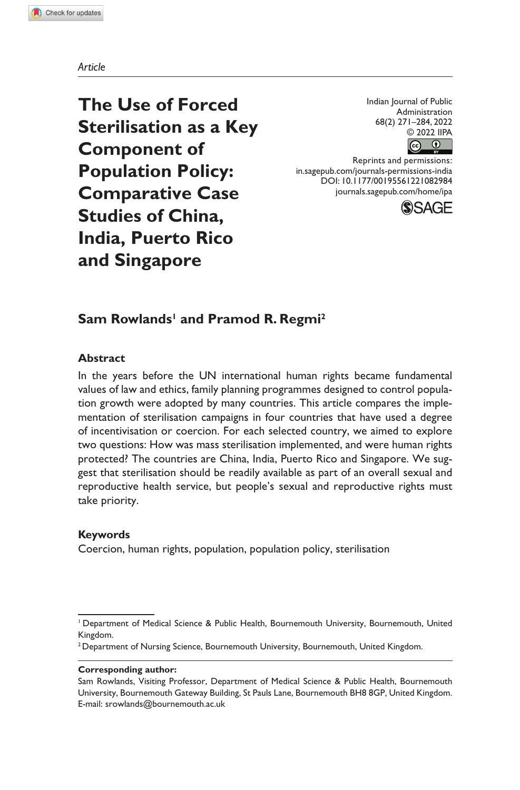#### *Article*

**The Use of Forced Sterilisation as a Key Component of Population Policy: Comparative Case Studies of China, India, Puerto Rico and Singapore**

Indian Journal of Public Administration 68(2) 271–284, 2022 © 2022 IIPA ெ

Reprints and permissions: in.sagepub.com/journals-permissions-india DOI: 10.1177/00195561221082984 journals.sagepub.com/home/ipa



# $\mathsf{Sam}\ \mathsf{Rowlands}^{\mathsf{I}}\ \mathsf{and}\ \mathsf{Pramod}\ \mathsf{R}.\ \mathsf{Regmi}^{\mathsf{2}}$

#### **Abstract**

In the years before the UN international human rights became fundamental values of law and ethics, family planning programmes designed to control population growth were adopted by many countries. This article compares the implementation of sterilisation campaigns in four countries that have used a degree of incentivisation or coercion. For each selected country, we aimed to explore two questions: How was mass sterilisation implemented, and were human rights protected? The countries are China, India, Puerto Rico and Singapore. We suggest that sterilisation should be readily available as part of an overall sexual and reproductive health service, but people's sexual and reproductive rights must take priority.

#### **Keywords**

Coercion, human rights, population, population policy, sterilisation

#### **Corresponding author:**

<sup>1</sup> Department of Medical Science & Public Health, Bournemouth University, Bournemouth, United Kingdom.

<sup>&</sup>lt;sup>2</sup> Department of Nursing Science, Bournemouth University, Bournemouth, United Kingdom.

Sam Rowlands, Visiting Professor, Department of Medical Science & Public Health, Bournemouth University, Bournemouth Gateway Building, St Pauls Lane, Bournemouth BH8 8GP, United Kingdom. E-mail: srowlands@bournemouth.ac.uk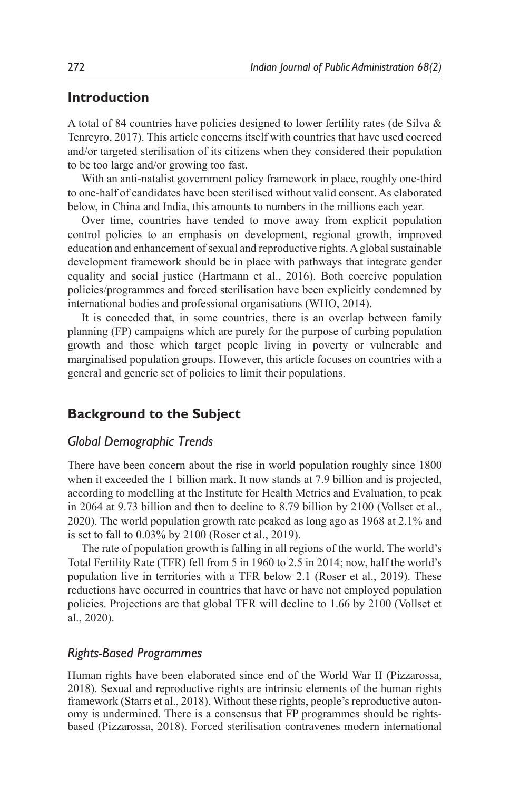### **Introduction**

A total of 84 countries have policies designed to lower fertility rates (de Silva & Tenreyro, 2017). This article concerns itself with countries that have used coerced and/or targeted sterilisation of its citizens when they considered their population to be too large and/or growing too fast.

With an anti-natalist government policy framework in place, roughly one-third to one-half of candidates have been sterilised without valid consent. As elaborated below, in China and India, this amounts to numbers in the millions each year.

Over time, countries have tended to move away from explicit population control policies to an emphasis on development, regional growth, improved education and enhancement of sexual and reproductive rights. A global sustainable development framework should be in place with pathways that integrate gender equality and social justice (Hartmann et al., 2016). Both coercive population policies/programmes and forced sterilisation have been explicitly condemned by international bodies and professional organisations (WHO, 2014).

It is conceded that, in some countries, there is an overlap between family planning (FP) campaigns which are purely for the purpose of curbing population growth and those which target people living in poverty or vulnerable and marginalised population groups. However, this article focuses on countries with a general and generic set of policies to limit their populations.

## **Background to the Subject**

#### *Global Demographic Trends*

There have been concern about the rise in world population roughly since 1800 when it exceeded the 1 billion mark. It now stands at 7.9 billion and is projected, according to modelling at the Institute for Health Metrics and Evaluation, to peak in 2064 at 9.73 billion and then to decline to 8.79 billion by 2100 (Vollset et al., 2020). The world population growth rate peaked as long ago as 1968 at 2.1% and is set to fall to 0.03% by 2100 (Roser et al., 2019).

The rate of population growth is falling in all regions of the world. The world's Total Fertility Rate (TFR) fell from 5 in 1960 to 2.5 in 2014; now, half the world's population live in territories with a TFR below 2.1 (Roser et al., 2019). These reductions have occurred in countries that have or have not employed population policies. Projections are that global TFR will decline to 1.66 by 2100 (Vollset et al., 2020).

#### *Rights-Based Programmes*

Human rights have been elaborated since end of the World War II (Pizzarossa, 2018). Sexual and reproductive rights are intrinsic elements of the human rights framework (Starrs et al., 2018). Without these rights, people's reproductive autonomy is undermined. There is a consensus that FP programmes should be rightsbased (Pizzarossa, 2018). Forced sterilisation contravenes modern international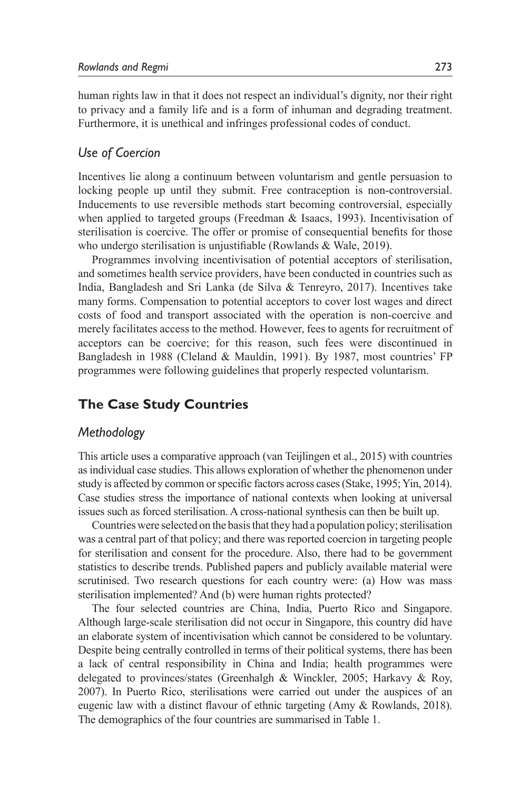human rights law in that it does not respect an individual's dignity, nor their right to privacy and a family life and is a form of inhuman and degrading treatment. Furthermore, it is unethical and infringes professional codes of conduct.

### *Use of Coercion*

Incentives lie along a continuum between voluntarism and gentle persuasion to locking people up until they submit. Free contraception is non-controversial. Inducements to use reversible methods start becoming controversial, especially when applied to targeted groups (Freedman & Isaacs, 1993). Incentivisation of sterilisation is coercive. The offer or promise of consequential benefits for those who undergo sterilisation is unjustifiable (Rowlands & Wale, 2019).

Programmes involving incentivisation of potential acceptors of sterilisation, and sometimes health service providers, have been conducted in countries such as India, Bangladesh and Sri Lanka (de Silva & Tenreyro, 2017). Incentives take many forms. Compensation to potential acceptors to cover lost wages and direct costs of food and transport associated with the operation is non-coercive and merely facilitates access to the method. However, fees to agents for recruitment of acceptors can be coercive; for this reason, such fees were discontinued in Bangladesh in 1988 (Cleland & Mauldin, 1991). By 1987, most countries' FP programmes were following guidelines that properly respected voluntarism.

# **The Case Study Countries**

### *Methodology*

This article uses a comparative approach (van Teijlingen et al., 2015) with countries as individual case studies. This allows exploration of whether the phenomenon under study is affected by common or specific factors across cases (Stake, 1995; Yin, 2014). Case studies stress the importance of national contexts when looking at universal issues such as forced sterilisation. A cross-national synthesis can then be built up.

Countries were selected on the basis that they had a population policy; sterilisation was a central part of that policy; and there was reported coercion in targeting people for sterilisation and consent for the procedure. Also, there had to be government statistics to describe trends. Published papers and publicly available material were scrutinised. Two research questions for each country were: (a) How was mass sterilisation implemented? And (b) were human rights protected?

The four selected countries are China, India, Puerto Rico and Singapore. Although large-scale sterilisation did not occur in Singapore, this country did have an elaborate system of incentivisation which cannot be considered to be voluntary. Despite being centrally controlled in terms of their political systems, there has been a lack of central responsibility in China and India; health programmes were delegated to provinces/states (Greenhalgh & Winckler, 2005; Harkavy & Roy, 2007). In Puerto Rico, sterilisations were carried out under the auspices of an eugenic law with a distinct flavour of ethnic targeting (Amy & Rowlands, 2018). The demographics of the four countries are summarised in Table 1.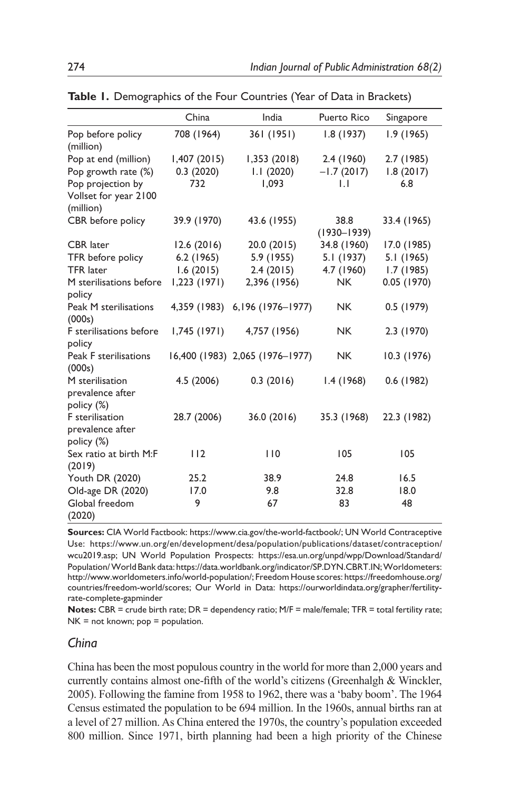|                                                   | China          | India                           | Puerto Rico     | Singapore   |
|---------------------------------------------------|----------------|---------------------------------|-----------------|-------------|
| Pop before policy<br>(million)                    | 708 (1964)     | 361 (1951)                      | 1.8(1937)       | 1.9(1965)   |
| Pop at end (million)                              | 1,407(2015)    | 1,353(2018)                     | 2.4(1960)       | 2.7 (1985)  |
| Pop growth rate (%)                               | 0.3(2020)      | 1.1(2020)                       | $-1.7(2017)$    | 1.8(2017)   |
| Pop projection by                                 | 732            | 1.093                           | $\mathsf{L}$    | 6.8         |
| Vollset for year 2100<br>(million)                |                |                                 |                 |             |
| CBR before policy                                 | 39.9 (1970)    | 43.6 (1955)                     | 38.8            | 33.4 (1965) |
|                                                   |                |                                 | $(1930 - 1939)$ |             |
| <b>CBR</b> later                                  | 12.6(2016)     | 20.0 (2015)                     | 34.8 (1960)     | 17.0 (1985) |
| TFR before policy                                 | $6.2$ (1965)   | 5.9 (1955)                      | 5.1 (1937)      | 5.1 (1965)  |
| <b>TFR</b> later                                  | 1.6(2015)      | 2.4(2015)                       | 4.7 (1960)      | 1.7(1985)   |
| M sterilisations before<br>policy                 | $1,223$ (1971) | 2,396 (1956)                    | NK.             | 0.05(1970)  |
| Peak M sterilisations<br>(000s)                   | 4,359 (1983)   | 6, 196 (1976-1977)              | <b>NK</b>       | 0.5(1979)   |
| F sterilisations before<br>policy                 | 1,745(1971)    | 4,757 (1956)                    | NK.             | 2.3 (1970)  |
| Peak F sterilisations<br>(000s)                   |                | 16,400 (1983) 2,065 (1976-1977) | <b>NK</b>       | 10.3 (1976) |
| M sterilisation<br>prevalence after               | 4.5 (2006)     | 0.3(2016)                       | 1.4(1968)       | 0.6 (1982)  |
| policy (%)<br>F sterilisation<br>prevalence after | 28.7 (2006)    | 36.0 (2016)                     | 35.3 (1968)     | 22.3 (1982) |
| policy (%)<br>Sex ratio at birth M:F<br>(2019)    | 112            | 110                             | 105             | 105         |
| Youth DR (2020)                                   | 25.2           | 38.9                            | 24.8            | 16.5        |
| Old-age DR (2020)                                 | 17.0           | 9.8                             | 32.8            | 18.0        |
| Global freedom<br>(2020)                          | 9              | 67                              | 83              | 48          |

**Table 1.** Demographics of the Four Countries (Year of Data in Brackets)

**Sources:** CIA World Factbook: https://www.cia.gov/the-world-factbook/; UN World Contraceptive Use: https://www.un.org/en/development/desa/population/publications/dataset/contraception/ wcu2019.asp; UN World Population Prospects: https://esa.un.org/unpd/wpp/Download/Standard/ Population/World Bank data: https://data.worldbank.org/indicator/SP.DYN.CBRT.IN; Worldometers: http://www.worldometers.info/world-population/; Freedom House scores: https://freedomhouse.org/ countries/freedom-world/scores; Our World in Data: https://ourworldindata.org/grapher/fertilityrate-complete-gapminder

**Notes:** CBR = crude birth rate; DR = dependency ratio; M/F = male/female; TFR = total fertility rate;  $NK = not known; pop = population.$ 

#### *China*

China has been the most populous country in the world for more than 2,000 years and currently contains almost one-fifth of the world's citizens (Greenhalgh & Winckler, 2005). Following the famine from 1958 to 1962, there was a 'baby boom'. The 1964 Census estimated the population to be 694 million. In the 1960s, annual births ran at a level of 27 million. As China entered the 1970s, the country's population exceeded 800 million. Since 1971, birth planning had been a high priority of the Chinese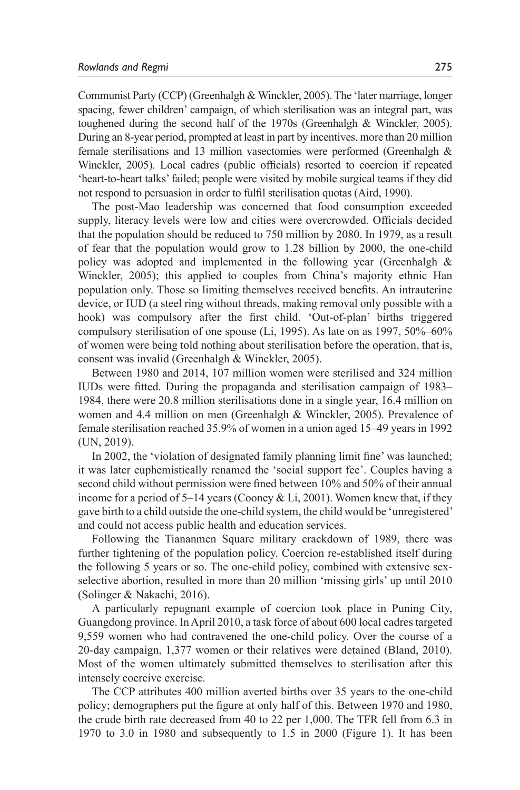Communist Party (CCP) (Greenhalgh & Winckler, 2005). The 'later marriage, longer spacing, fewer children' campaign, of which sterilisation was an integral part, was toughened during the second half of the 1970s (Greenhalgh & Winckler, 2005). During an 8-year period, prompted at least in part by incentives, more than 20 million female sterilisations and 13 million vasectomies were performed (Greenhalgh & Winckler, 2005). Local cadres (public officials) resorted to coercion if repeated 'heart-to-heart talks' failed; people were visited by mobile surgical teams if they did not respond to persuasion in order to fulfil sterilisation quotas (Aird, 1990).

The post-Mao leadership was concerned that food consumption exceeded supply, literacy levels were low and cities were overcrowded. Officials decided that the population should be reduced to 750 million by 2080. In 1979, as a result of fear that the population would grow to 1.28 billion by 2000, the one-child policy was adopted and implemented in the following year (Greenhalgh & Winckler, 2005); this applied to couples from China's majority ethnic Han population only. Those so limiting themselves received benefits. An intrauterine device, or IUD (a steel ring without threads, making removal only possible with a hook) was compulsory after the first child. 'Out-of-plan' births triggered compulsory sterilisation of one spouse (Li, 1995). As late on as 1997, 50%–60% of women were being told nothing about sterilisation before the operation, that is, consent was invalid (Greenhalgh & Winckler, 2005).

Between 1980 and 2014, 107 million women were sterilised and 324 million IUDs were fitted. During the propaganda and sterilisation campaign of 1983– 1984, there were 20.8 million sterilisations done in a single year, 16.4 million on women and 4.4 million on men (Greenhalgh & Winckler, 2005). Prevalence of female sterilisation reached 35.9% of women in a union aged 15–49 years in 1992 (UN, 2019).

In 2002, the 'violation of designated family planning limit fine' was launched; it was later euphemistically renamed the 'social support fee'. Couples having a second child without permission were fined between 10% and 50% of their annual income for a period of  $5-14$  years (Cooney & Li, 2001). Women knew that, if they gave birth to a child outside the one-child system, the child would be 'unregistered' and could not access public health and education services.

Following the Tiananmen Square military crackdown of 1989, there was further tightening of the population policy. Coercion re-established itself during the following 5 years or so. The one-child policy, combined with extensive sexselective abortion, resulted in more than 20 million 'missing girls' up until 2010 (Solinger & Nakachi, 2016).

A particularly repugnant example of coercion took place in Puning City, Guangdong province. In April 2010, a task force of about 600 local cadres targeted 9,559 women who had contravened the one-child policy. Over the course of a 20-day campaign, 1,377 women or their relatives were detained (Bland, 2010). Most of the women ultimately submitted themselves to sterilisation after this intensely coercive exercise.

The CCP attributes 400 million averted births over 35 years to the one-child policy; demographers put the figure at only half of this. Between 1970 and 1980, the crude birth rate decreased from 40 to 22 per 1,000. The TFR fell from 6.3 in 1970 to 3.0 in 1980 and subsequently to 1.5 in 2000 (Figure 1). It has been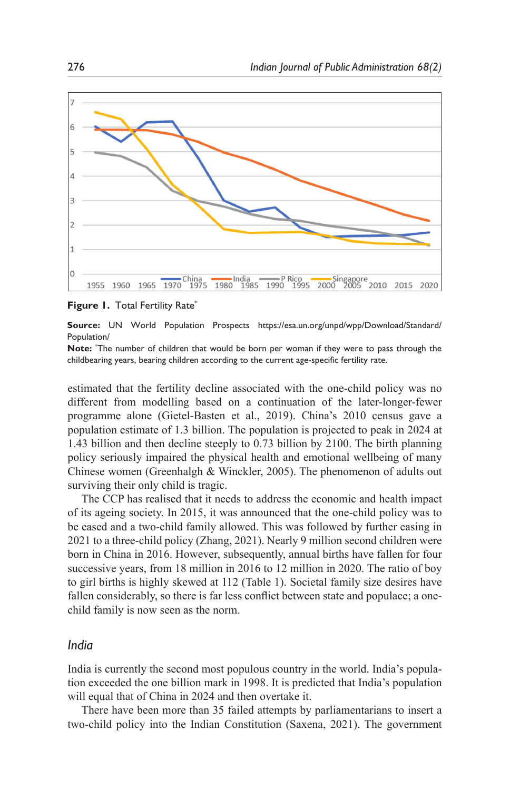

**Figure 1. Total Fertility Rate\*** 

**Source:** UN World Population Prospects https://esa.un.org/unpd/wpp/Download/Standard/ Population/

**Note:** \* The number of children that would be born per woman if they were to pass through the childbearing years, bearing children according to the current age-specific fertility rate.

estimated that the fertility decline associated with the one-child policy was no different from modelling based on a continuation of the later-longer-fewer programme alone (Gietel-Basten et al., 2019). China's 2010 census gave a population estimate of 1.3 billion. The population is projected to peak in 2024 at 1.43 billion and then decline steeply to 0.73 billion by 2100. The birth planning policy seriously impaired the physical health and emotional wellbeing of many Chinese women (Greenhalgh & Winckler, 2005). The phenomenon of adults out surviving their only child is tragic.

The CCP has realised that it needs to address the economic and health impact of its ageing society. In 2015, it was announced that the one-child policy was to be eased and a two-child family allowed. This was followed by further easing in 2021 to a three-child policy (Zhang, 2021). Nearly 9 million second children were born in China in 2016. However, subsequently, annual births have fallen for four successive years, from 18 million in 2016 to 12 million in 2020. The ratio of boy to girl births is highly skewed at 112 (Table 1). Societal family size desires have fallen considerably, so there is far less conflict between state and populace; a onechild family is now seen as the norm.

#### *India*

India is currently the second most populous country in the world. India's population exceeded the one billion mark in 1998. It is predicted that India's population will equal that of China in 2024 and then overtake it.

There have been more than 35 failed attempts by parliamentarians to insert a two-child policy into the Indian Constitution (Saxena, 2021). The government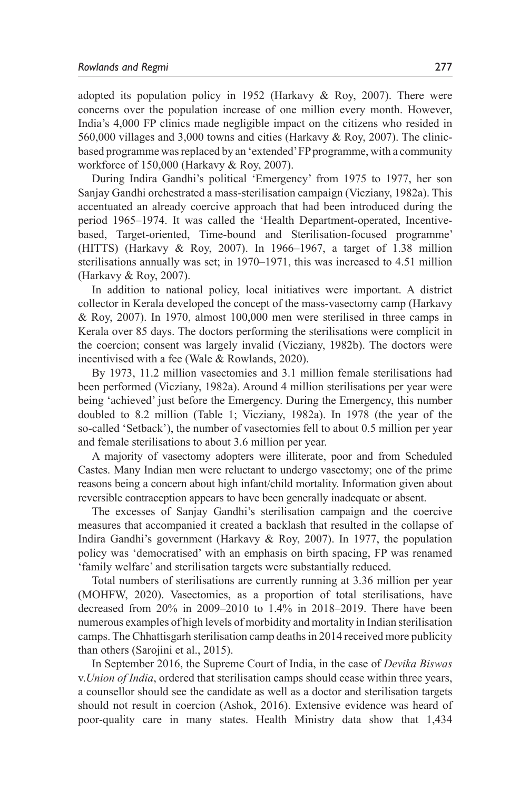adopted its population policy in 1952 (Harkavy  $& Roy, 2007$ ). There were concerns over the population increase of one million every month. However, India's 4,000 FP clinics made negligible impact on the citizens who resided in 560,000 villages and 3,000 towns and cities (Harkavy & Roy, 2007). The clinicbased programme was replaced by an 'extended' FP programme, with a community workforce of 150,000 (Harkavy & Roy, 2007).

During Indira Gandhi's political 'Emergency' from 1975 to 1977, her son Sanjay Gandhi orchestrated a mass-sterilisation campaign (Vicziany, 1982a). This accentuated an already coercive approach that had been introduced during the period 1965–1974. It was called the 'Health Department-operated, Incentivebased, Target-oriented, Time-bound and Sterilisation-focused programme' (HITTS) (Harkavy & Roy, 2007). In 1966–1967, a target of 1.38 million sterilisations annually was set; in 1970–1971, this was increased to 4.51 million (Harkavy & Roy, 2007).

In addition to national policy, local initiatives were important. A district collector in Kerala developed the concept of the mass-vasectomy camp (Harkavy & Roy, 2007). In 1970, almost 100,000 men were sterilised in three camps in Kerala over 85 days. The doctors performing the sterilisations were complicit in the coercion; consent was largely invalid (Vicziany, 1982b). The doctors were incentivised with a fee (Wale & Rowlands, 2020).

By 1973, 11.2 million vasectomies and 3.1 million female sterilisations had been performed (Vicziany, 1982a). Around 4 million sterilisations per year were being 'achieved' just before the Emergency. During the Emergency, this number doubled to 8.2 million (Table 1; Vicziany, 1982a). In 1978 (the year of the so-called 'Setback'), the number of vasectomies fell to about 0.5 million per year and female sterilisations to about 3.6 million per year.

A majority of vasectomy adopters were illiterate, poor and from Scheduled Castes. Many Indian men were reluctant to undergo vasectomy; one of the prime reasons being a concern about high infant/child mortality. Information given about reversible contraception appears to have been generally inadequate or absent.

The excesses of Sanjay Gandhi's sterilisation campaign and the coercive measures that accompanied it created a backlash that resulted in the collapse of Indira Gandhi's government (Harkavy & Roy, 2007). In 1977, the population policy was 'democratised' with an emphasis on birth spacing, FP was renamed 'family welfare' and sterilisation targets were substantially reduced.

Total numbers of sterilisations are currently running at 3.36 million per year (MOHFW, 2020). Vasectomies, as a proportion of total sterilisations, have decreased from 20% in 2009–2010 to 1.4% in 2018–2019. There have been numerous examples of high levels of morbidity and mortality in Indian sterilisation camps. The Chhattisgarh sterilisation camp deaths in 2014 received more publicity than others (Sarojini et al., 2015).

In September 2016, the Supreme Court of India, in the case of *Devika Biswas*  v.*Union of India*, ordered that sterilisation camps should cease within three years, a counsellor should see the candidate as well as a doctor and sterilisation targets should not result in coercion (Ashok, 2016). Extensive evidence was heard of poor-quality care in many states. Health Ministry data show that 1,434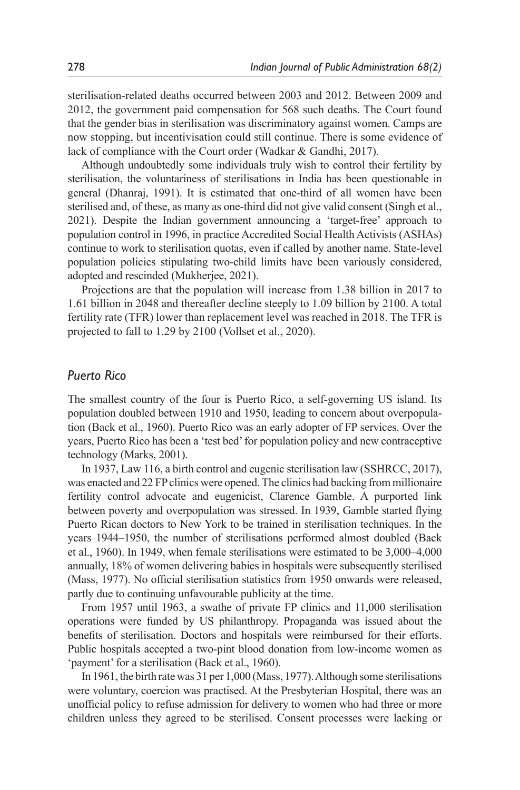sterilisation-related deaths occurred between 2003 and 2012. Between 2009 and 2012, the government paid compensation for 568 such deaths. The Court found that the gender bias in sterilisation was discriminatory against women. Camps are now stopping, but incentivisation could still continue. There is some evidence of lack of compliance with the Court order (Wadkar & Gandhi, 2017).

Although undoubtedly some individuals truly wish to control their fertility by sterilisation, the voluntariness of sterilisations in India has been questionable in general (Dhanraj, 1991). It is estimated that one-third of all women have been sterilised and, of these, as many as one-third did not give valid consent (Singh et al., 2021). Despite the Indian government announcing a 'target-free' approach to population control in 1996, in practice Accredited Social Health Activists (ASHAs) continue to work to sterilisation quotas, even if called by another name. State-level population policies stipulating two-child limits have been variously considered, adopted and rescinded (Mukherjee, 2021).

Projections are that the population will increase from 1.38 billion in 2017 to 1.61 billion in 2048 and thereafter decline steeply to 1.09 billion by 2100. A total fertility rate (TFR) lower than replacement level was reached in 2018. The TFR is projected to fall to 1.29 by 2100 (Vollset et al., 2020).

### *Puerto Rico*

The smallest country of the four is Puerto Rico, a self-governing US island. Its population doubled between 1910 and 1950, leading to concern about overpopulation (Back et al., 1960). Puerto Rico was an early adopter of FP services. Over the years, Puerto Rico has been a 'test bed' for population policy and new contraceptive technology (Marks, 2001).

In 1937, Law 116, a birth control and eugenic sterilisation law (SSHRCC, 2017), was enacted and 22 FP clinics were opened. The clinics had backing from millionaire fertility control advocate and eugenicist, Clarence Gamble. A purported link between poverty and overpopulation was stressed. In 1939, Gamble started flying Puerto Rican doctors to New York to be trained in sterilisation techniques. In the years 1944–1950, the number of sterilisations performed almost doubled (Back et al., 1960). In 1949, when female sterilisations were estimated to be 3,000–4,000 annually, 18% of women delivering babies in hospitals were subsequently sterilised (Mass, 1977). No official sterilisation statistics from 1950 onwards were released, partly due to continuing unfavourable publicity at the time.

From 1957 until 1963, a swathe of private FP clinics and 11,000 sterilisation operations were funded by US philanthropy. Propaganda was issued about the benefits of sterilisation. Doctors and hospitals were reimbursed for their efforts. Public hospitals accepted a two-pint blood donation from low-income women as 'payment' for a sterilisation (Back et al., 1960).

In 1961, the birth rate was 31 per 1,000 (Mass, 1977). Although some sterilisations were voluntary, coercion was practised. At the Presbyterian Hospital, there was an unofficial policy to refuse admission for delivery to women who had three or more children unless they agreed to be sterilised. Consent processes were lacking or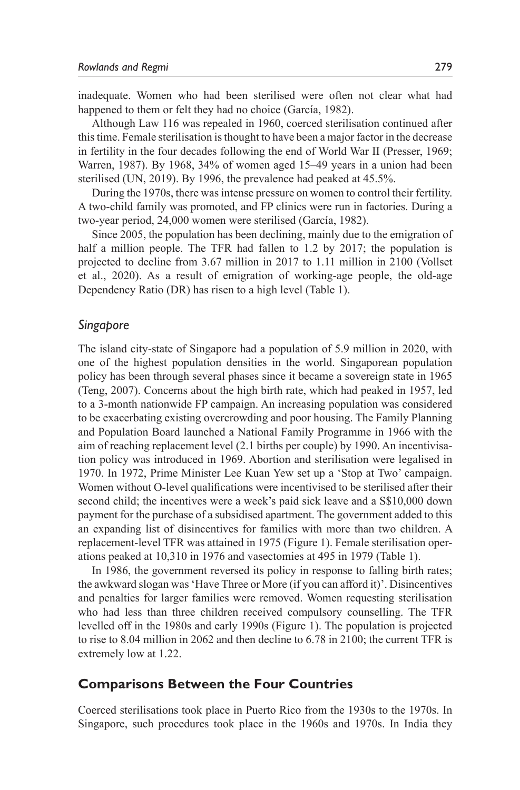inadequate. Women who had been sterilised were often not clear what had happened to them or felt they had no choice (García, 1982).

Although Law 116 was repealed in 1960, coerced sterilisation continued after this time. Female sterilisation is thought to have been a major factor in the decrease in fertility in the four decades following the end of World War II (Presser, 1969; Warren, 1987). By 1968, 34% of women aged 15–49 years in a union had been sterilised (UN, 2019). By 1996, the prevalence had peaked at 45.5%.

During the 1970s, there was intense pressure on women to control their fertility. A two-child family was promoted, and FP clinics were run in factories. During a two-year period, 24,000 women were sterilised (García, 1982).

Since 2005, the population has been declining, mainly due to the emigration of half a million people. The TFR had fallen to 1.2 by 2017; the population is projected to decline from 3.67 million in 2017 to 1.11 million in 2100 (Vollset et al., 2020). As a result of emigration of working-age people, the old-age Dependency Ratio (DR) has risen to a high level (Table 1).

#### *Singapore*

The island city-state of Singapore had a population of 5.9 million in 2020, with one of the highest population densities in the world. Singaporean population policy has been through several phases since it became a sovereign state in 1965 (Teng, 2007). Concerns about the high birth rate, which had peaked in 1957, led to a 3-month nationwide FP campaign. An increasing population was considered to be exacerbating existing overcrowding and poor housing. The Family Planning and Population Board launched a National Family Programme in 1966 with the aim of reaching replacement level (2.1 births per couple) by 1990. An incentivisation policy was introduced in 1969. Abortion and sterilisation were legalised in 1970. In 1972, Prime Minister Lee Kuan Yew set up a 'Stop at Two' campaign. Women without O-level qualifications were incentivised to be sterilised after their second child; the incentives were a week's paid sick leave and a S\$10,000 down payment for the purchase of a subsidised apartment. The government added to this an expanding list of disincentives for families with more than two children. A replacement-level TFR was attained in 1975 (Figure 1). Female sterilisation operations peaked at 10,310 in 1976 and vasectomies at 495 in 1979 (Table 1).

In 1986, the government reversed its policy in response to falling birth rates; the awkward slogan was 'Have Three or More (if you can afford it)'. Disincentives and penalties for larger families were removed. Women requesting sterilisation who had less than three children received compulsory counselling. The TFR levelled off in the 1980s and early 1990s (Figure 1). The population is projected to rise to 8.04 million in 2062 and then decline to 6.78 in 2100; the current TFR is extremely low at 1.22.

### **Comparisons Between the Four Countries**

Coerced sterilisations took place in Puerto Rico from the 1930s to the 1970s. In Singapore, such procedures took place in the 1960s and 1970s. In India they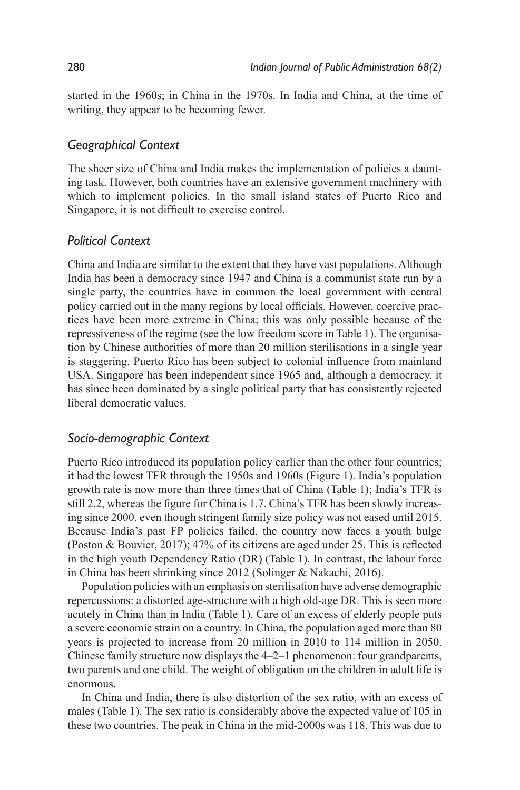started in the 1960s; in China in the 1970s. In India and China, at the time of writing, they appear to be becoming fewer.

# *Geographical Context*

The sheer size of China and India makes the implementation of policies a daunting task. However, both countries have an extensive government machinery with which to implement policies. In the small island states of Puerto Rico and Singapore, it is not difficult to exercise control.

# *Political Context*

China and India are similar to the extent that they have vast populations. Although India has been a democracy since 1947 and China is a communist state run by a single party, the countries have in common the local government with central policy carried out in the many regions by local officials. However, coercive practices have been more extreme in China; this was only possible because of the repressiveness of the regime (see the low freedom score in Table 1). The organisation by Chinese authorities of more than 20 million sterilisations in a single year is staggering. Puerto Rico has been subject to colonial influence from mainland USA. Singapore has been independent since 1965 and, although a democracy, it has since been dominated by a single political party that has consistently rejected liberal democratic values.

## *Socio-demographic Context*

Puerto Rico introduced its population policy earlier than the other four countries; it had the lowest TFR through the 1950s and 1960s (Figure 1). India's population growth rate is now more than three times that of China (Table 1); India's TFR is still 2.2, whereas the figure for China is 1.7. China's TFR has been slowly increasing since 2000, even though stringent family size policy was not eased until 2015. Because India's past FP policies failed, the country now faces a youth bulge (Poston & Bouvier, 2017); 47% of its citizens are aged under 25. This is reflected in the high youth Dependency Ratio (DR) (Table 1). In contrast, the labour force in China has been shrinking since 2012 (Solinger & Nakachi, 2016).

Population policies with an emphasis on sterilisation have adverse demographic repercussions: a distorted age-structure with a high old-age DR. This is seen more acutely in China than in India (Table 1). Care of an excess of elderly people puts a severe economic strain on a country. In China, the population aged more than 80 years is projected to increase from 20 million in 2010 to 114 million in 2050. Chinese family structure now displays the 4–2–1 phenomenon: four grandparents, two parents and one child. The weight of obligation on the children in adult life is enormous.

In China and India, there is also distortion of the sex ratio, with an excess of males (Table 1). The sex ratio is considerably above the expected value of 105 in these two countries. The peak in China in the mid-2000s was 118. This was due to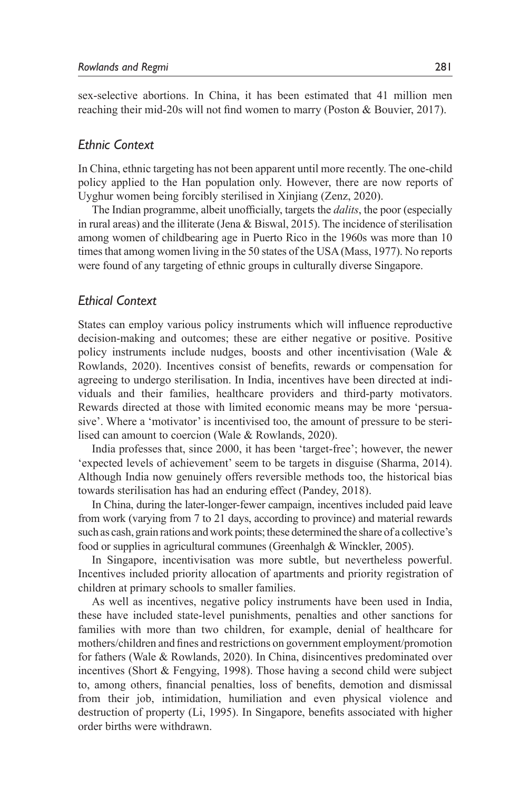sex-selective abortions. In China, it has been estimated that 41 million men reaching their mid-20s will not find women to marry (Poston & Bouvier, 2017).

### *Ethnic Context*

In China, ethnic targeting has not been apparent until more recently. The one-child policy applied to the Han population only. However, there are now reports of Uyghur women being forcibly sterilised in Xinjiang (Zenz, 2020).

The Indian programme, albeit unofficially, targets the *dalits*, the poor (especially in rural areas) and the illiterate (Jena & Biswal, 2015). The incidence of sterilisation among women of childbearing age in Puerto Rico in the 1960s was more than 10 times that among women living in the 50 states of the USA (Mass, 1977). No reports were found of any targeting of ethnic groups in culturally diverse Singapore.

### *Ethical Context*

States can employ various policy instruments which will influence reproductive decision-making and outcomes; these are either negative or positive. Positive policy instruments include nudges, boosts and other incentivisation (Wale & Rowlands, 2020). Incentives consist of benefits, rewards or compensation for agreeing to undergo sterilisation. In India, incentives have been directed at individuals and their families, healthcare providers and third-party motivators. Rewards directed at those with limited economic means may be more 'persuasive'. Where a 'motivator' is incentivised too, the amount of pressure to be sterilised can amount to coercion (Wale & Rowlands, 2020).

India professes that, since 2000, it has been 'target-free'; however, the newer 'expected levels of achievement' seem to be targets in disguise (Sharma, 2014). Although India now genuinely offers reversible methods too, the historical bias towards sterilisation has had an enduring effect (Pandey, 2018).

In China, during the later-longer-fewer campaign, incentives included paid leave from work (varying from 7 to 21 days, according to province) and material rewards such as cash, grain rations and work points; these determined the share of a collective's food or supplies in agricultural communes (Greenhalgh & Winckler, 2005).

In Singapore, incentivisation was more subtle, but nevertheless powerful. Incentives included priority allocation of apartments and priority registration of children at primary schools to smaller families.

As well as incentives, negative policy instruments have been used in India, these have included state-level punishments, penalties and other sanctions for families with more than two children, for example, denial of healthcare for mothers/children and fines and restrictions on government employment/promotion for fathers (Wale & Rowlands, 2020). In China, disincentives predominated over incentives (Short & Fengying, 1998). Those having a second child were subject to, among others, financial penalties, loss of benefits, demotion and dismissal from their job, intimidation, humiliation and even physical violence and destruction of property (Li, 1995). In Singapore, benefits associated with higher order births were withdrawn.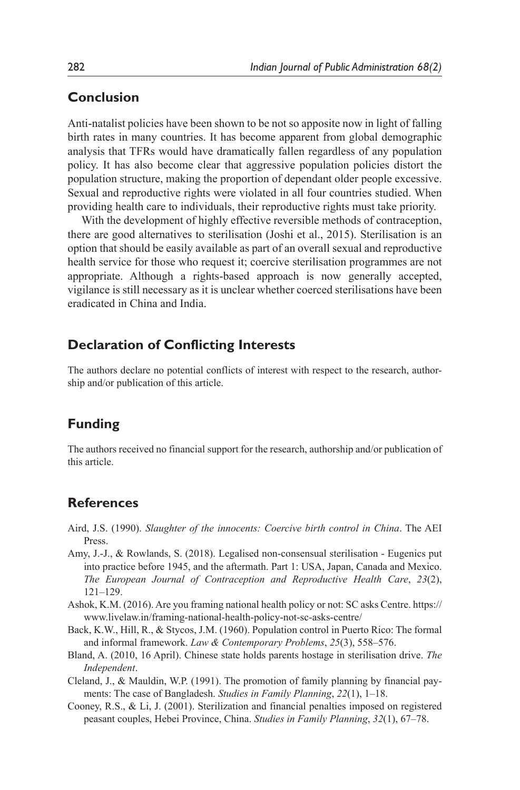# **Conclusion**

Anti-natalist policies have been shown to be not so apposite now in light of falling birth rates in many countries. It has become apparent from global demographic analysis that TFRs would have dramatically fallen regardless of any population policy. It has also become clear that aggressive population policies distort the population structure, making the proportion of dependant older people excessive. Sexual and reproductive rights were violated in all four countries studied. When providing health care to individuals, their reproductive rights must take priority.

With the development of highly effective reversible methods of contraception, there are good alternatives to sterilisation (Joshi et al., 2015). Sterilisation is an option that should be easily available as part of an overall sexual and reproductive health service for those who request it; coercive sterilisation programmes are not appropriate. Although a rights-based approach is now generally accepted, vigilance is still necessary as it is unclear whether coerced sterilisations have been eradicated in China and India.

## **Declaration of Conflicting Interests**

The authors declare no potential conflicts of interest with respect to the research, authorship and/or publication of this article.

## **Funding**

The authors received no financial support for the research, authorship and/or publication of this article.

### **References**

- Aird, J.S. (1990). *Slaughter of the innocents: Coercive birth control in China*. The AEI Press.
- Amy, J.-J., & Rowlands, S. (2018). Legalised non-consensual sterilisation Eugenics put into practice before 1945, and the aftermath. Part 1: USA, Japan, Canada and Mexico. *The European Journal of Contraception and Reproductive Health Care*, *23*(2), 121–129.
- Ashok, K.M. (2016). Are you framing national health policy or not: SC asks Centre. https:// www.livelaw.in/framing-national-health-policy-not-sc-asks-centre/
- Back, K.W., Hill, R., & Stycos, J.M. (1960). Population control in Puerto Rico: The formal and informal framework. *Law & Contemporary Problems*, *25*(3), 558–576.
- Bland, A. (2010, 16 April). Chinese state holds parents hostage in sterilisation drive. *The Independent*.
- Cleland, J., & Mauldin, W.P. (1991). The promotion of family planning by financial payments: The case of Bangladesh. *Studies in Family Planning*, *22*(1), 1–18.
- Cooney, R.S., & Li, J. (2001). Sterilization and financial penalties imposed on registered peasant couples, Hebei Province, China. *Studies in Family Planning*, *32*(1), 67–78.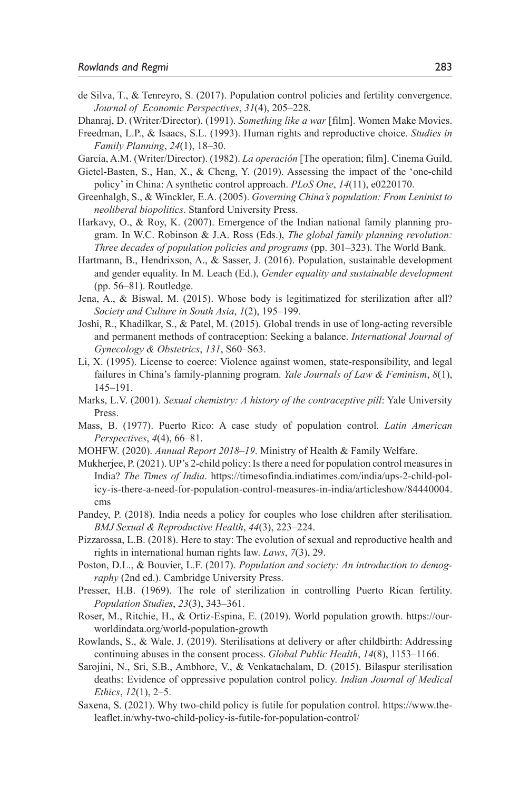de Silva, T., & Tenreyro, S. (2017). Population control policies and fertility convergence. *Journal of Economic Perspectives*, *31*(4), 205–228.

Dhanraj, D. (Writer/Director). (1991). *Something like a war* [film]. Women Make Movies.

- Freedman, L.P., & Isaacs, S.L. (1993). Human rights and reproductive choice. *Studies in Family Planning*, *24*(1), 18–30.
- García, A.M. (Writer/Director). (1982). *La operación* [The operation; film]. Cinema Guild.
- Gietel-Basten, S., Han, X., & Cheng, Y. (2019). Assessing the impact of the 'one-child policy' in China: A synthetic control approach. *PLoS One*, *14*(11), e0220170.
- Greenhalgh, S., & Winckler, E.A. (2005). *Governing China's population: From Leninist to neoliberal biopolitics*. Stanford University Press.
- Harkavy, O., & Roy, K. (2007). Emergence of the Indian national family planning program. In W.C. Robinson & J.A. Ross (Eds.), *The global family planning revolution: Three decades of population policies and programs* (pp. 301–323). The World Bank.
- Hartmann, B., Hendrixson, A., & Sasser, J. (2016). Population, sustainable development and gender equality. In M. Leach (Ed.), *Gender equality and sustainable development* (pp. 56–81). Routledge.
- Jena, A., & Biswal, M. (2015). Whose body is legitimatized for sterilization after all? *Society and Culture in South Asia*, *1*(2), 195–199.
- Joshi, R., Khadilkar, S., & Patel, M. (2015). Global trends in use of long-acting reversible and permanent methods of contraception: Seeking a balance. *International Journal of Gynecology & Obstetrics*, *131*, S60–S63.
- Li, X. (1995). License to coerce: Violence against women, state-responsibility, and legal failures in China's family-planning program. *Yale Journals of Law & Feminism*, *8*(1), 145–191.
- Marks, L.V. (2001). *Sexual chemistry: A history of the contraceptive pill*: Yale University Press.
- Mass, B. (1977). Puerto Rico: A case study of population control. *Latin American Perspectives*, *4*(4), 66–81.
- MOHFW. (2020). *Annual Report 2018–19*. Ministry of Health & Family Welfare.
- Mukherjee, P. (2021). UP's 2-child policy: Is there a need for population control measures in India? *The Times of India*. https://timesofindia.indiatimes.com/india/ups-2-child-policy-is-there-a-need-for-population-control-measures-in-india/articleshow/84440004. cms
- Pandey, P. (2018). India needs a policy for couples who lose children after sterilisation. *BMJ Sexual & Reproductive Health*, *44*(3), 223–224.
- Pizzarossa, L.B. (2018). Here to stay: The evolution of sexual and reproductive health and rights in international human rights law. *Laws*, *7*(3), 29.
- Poston, D.L., & Bouvier, L.F. (2017). *Population and society: An introduction to demography* (2nd ed.). Cambridge University Press.
- Presser, H.B. (1969). The role of sterilization in controlling Puerto Rican fertility. *Population Studies*, *23*(3), 343–361.
- Roser, M., Ritchie, H., & Ortiz-Espina, E. (2019). World population growth. https://ourworldindata.org/world-population-growth
- Rowlands, S., & Wale, J. (2019). Sterilisations at delivery or after childbirth: Addressing continuing abuses in the consent process. *Global Public Health*, *14*(8), 1153–1166.
- Sarojini, N., Sri, S.B., Ambhore, V., & Venkatachalam, D. (2015). Bilaspur sterilisation deaths: Evidence of oppressive population control policy. *Indian Journal of Medical Ethics*, *12*(1), 2–5.
- Saxena, S. (2021). Why two-child policy is futile for population control. https://www.theleaflet.in/why-two-child-policy-is-futile-for-population-control/